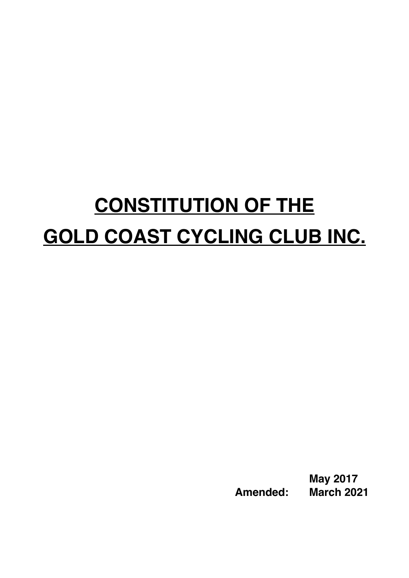# **CONSTITUTION OF THE GOLD COAST CYCLING CLUB INC.**

**May 2017 Amended: March 2021**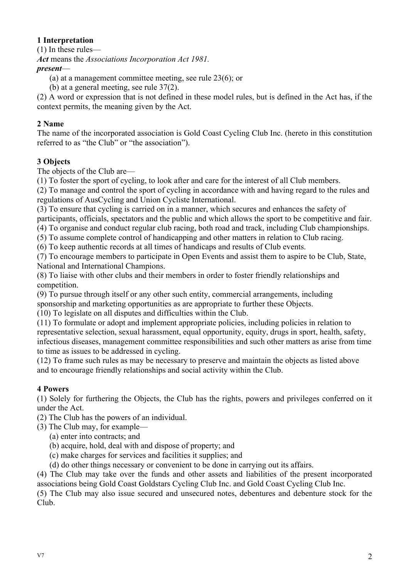# **1 Interpretation**

(1) In these rules—

*Act* means the *Associations Incorporation Act 1981.*

# *present*—

(a) at a management committee meeting, see rule 23(6); or

(b) at a general meeting, see rule 37(2).

(2) A word or expression that is not defined in these model rules, but is defined in the Act has, if the context permits, the meaning given by the Act.

# **2 Name**

The name of the incorporated association is Gold Coast Cycling Club Inc. (hereto in this constitution referred to as "the Club" or "the association").

# **3 Objects**

The objects of the Club are—

(1) To foster the sport of cycling, to look after and care for the interest of all Club members.

(2) To manage and control the sport of cycling in accordance with and having regard to the rules and regulations of AusCycling and Union Cycliste International.

(3) To ensure that cycling is carried on in a manner, which secures and enhances the safety of participants, officials, spectators and the public and which allows the sport to be competitive and fair. (4) To organise and conduct regular club racing, both road and track, including Club championships.

(5) To assume complete control of handicapping and other matters in relation to Club racing.

(6) To keep authentic records at all times of handicaps and results of Club events.

(7) To encourage members to participate in Open Events and assist them to aspire to be Club, State, National and International Champions.

(8) To liaise with other clubs and their members in order to foster friendly relationships and competition.

(9) To pursue through itself or any other such entity, commercial arrangements, including sponsorship and marketing opportunities as are appropriate to further these Objects.

(10) To legislate on all disputes and difficulties within the Club.

(11) To formulate or adopt and implement appropriate policies, including policies in relation to representative selection, sexual harassment, equal opportunity, equity, drugs in sport, health, safety, infectious diseases, management committee responsibilities and such other matters as arise from time to time as issues to be addressed in cycling.

(12) To frame such rules as may be necessary to preserve and maintain the objects as listed above and to encourage friendly relationships and social activity within the Club.

# **4 Powers**

(1) Solely for furthering the Objects, the Club has the rights, powers and privileges conferred on it under the Act.

(2) The Club has the powers of an individual.

- (3) The Club may, for example—
	- (a) enter into contracts; and
	- (b) acquire, hold, deal with and dispose of property; and
	- (c) make charges for services and facilities it supplies; and

(d) do other things necessary or convenient to be done in carrying out its affairs.

(4) The Club may take over the funds and other assets and liabilities of the present incorporated associations being Gold Coast Goldstars Cycling Club Inc. and Gold Coast Cycling Club Inc.

(5) The Club may also issue secured and unsecured notes, debentures and debenture stock for the Club.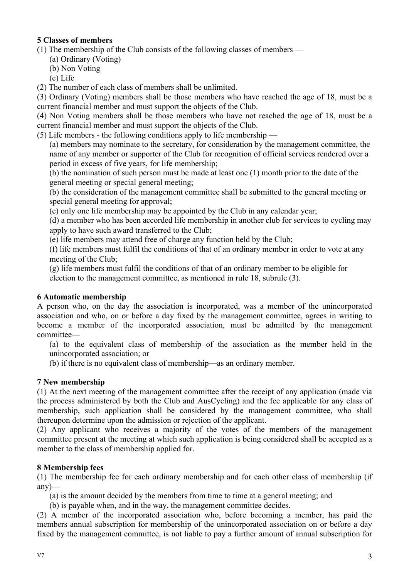# **5 Classes of members**

(1) The membership of the Club consists of the following classes of members —

(a) Ordinary (Voting)

(b) Non Voting

(c) Life

(2) The number of each class of members shall be unlimited.

(3) Ordinary (Voting) members shall be those members who have reached the age of 18, must be a current financial member and must support the objects of the Club.

(4) Non Voting members shall be those members who have not reached the age of 18, must be a current financial member and must support the objects of the Club.

(5) Life members - the following conditions apply to life membership —

(a) members may nominate to the secretary, for consideration by the management committee, the name of any member or supporter of the Club for recognition of official services rendered over a period in excess of five years, for life membership;

(b) the nomination of such person must be made at least one (1) month prior to the date of the general meeting or special general meeting;

(b) the consideration of the management committee shall be submitted to the general meeting or special general meeting for approval;

(c) only one life membership may be appointed by the Club in any calendar year;

(d) a member who has been accorded life membership in another club for services to cycling may apply to have such award transferred to the Club;

(e) life members may attend free of charge any function held by the Club;

(f) life members must fulfil the conditions of that of an ordinary member in order to vote at any meeting of the Club;

(g) life members must fulfil the conditions of that of an ordinary member to be eligible for election to the management committee, as mentioned in rule 18, subrule (3).

# **6 Automatic membership**

A person who, on the day the association is incorporated, was a member of the unincorporated association and who, on or before a day fixed by the management committee, agrees in writing to become a member of the incorporated association, must be admitted by the management committee—

(a) to the equivalent class of membership of the association as the member held in the unincorporated association; or

(b) if there is no equivalent class of membership—as an ordinary member.

# **7 New membership**

(1) At the next meeting of the management committee after the receipt of any application (made via the process administered by both the Club and AusCycling) and the fee applicable for any class of membership, such application shall be considered by the management committee, who shall thereupon determine upon the admission or rejection of the applicant.

(2) Any applicant who receives a majority of the votes of the members of the management committee present at the meeting at which such application is being considered shall be accepted as a member to the class of membership applied for.

# **8 Membership fees**

(1) The membership fee for each ordinary membership and for each other class of membership (if any)—

(a) is the amount decided by the members from time to time at a general meeting; and

(b) is payable when, and in the way, the management committee decides.

(2) A member of the incorporated association who, before becoming a member, has paid the members annual subscription for membership of the unincorporated association on or before a day fixed by the management committee, is not liable to pay a further amount of annual subscription for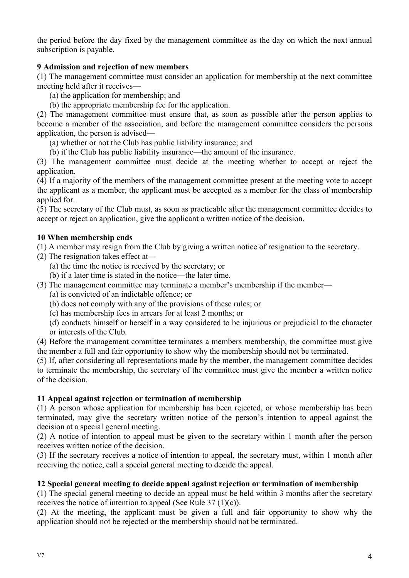the period before the day fixed by the management committee as the day on which the next annual subscription is payable.

# **9 Admission and rejection of new members**

(1) The management committee must consider an application for membership at the next committee meeting held after it receives—

(a) the application for membership; and

(b) the appropriate membership fee for the application.

(2) The management committee must ensure that, as soon as possible after the person applies to become a member of the association, and before the management committee considers the persons application, the person is advised—

(a) whether or not the Club has public liability insurance; and

(b) if the Club has public liability insurance—the amount of the insurance.

(3) The management committee must decide at the meeting whether to accept or reject the application.

(4) If a majority of the members of the management committee present at the meeting vote to accept the applicant as a member, the applicant must be accepted as a member for the class of membership applied for.

(5) The secretary of the Club must, as soon as practicable after the management committee decides to accept or reject an application, give the applicant a written notice of the decision.

#### **10 When membership ends**

(1) A member may resign from the Club by giving a written notice of resignation to the secretary.

- (2) The resignation takes effect at—
	- (a) the time the notice is received by the secretary; or
	- (b) if a later time is stated in the notice—the later time.
- (3) The management committee may terminate a member's membership if the member—
	- (a) is convicted of an indictable offence; or
	- (b) does not comply with any of the provisions of these rules; or
	- (c) has membership fees in arrears for at least 2 months; or

(d) conducts himself or herself in a way considered to be injurious or prejudicial to the character or interests of the Club.

(4) Before the management committee terminates a members membership, the committee must give the member a full and fair opportunity to show why the membership should not be terminated.

(5) If, after considering all representations made by the member, the management committee decides to terminate the membership, the secretary of the committee must give the member a written notice of the decision.

#### **11 Appeal against rejection or termination of membership**

(1) A person whose application for membership has been rejected, or whose membership has been terminated, may give the secretary written notice of the person's intention to appeal against the decision at a special general meeting.

(2) A notice of intention to appeal must be given to the secretary within 1 month after the person receives written notice of the decision.

(3) If the secretary receives a notice of intention to appeal, the secretary must, within 1 month after receiving the notice, call a special general meeting to decide the appeal.

#### **12 Special general meeting to decide appeal against rejection or termination of membership**

(1) The special general meeting to decide an appeal must be held within 3 months after the secretary receives the notice of intention to appeal (See Rule 37 (1)(c)).

(2) At the meeting, the applicant must be given a full and fair opportunity to show why the application should not be rejected or the membership should not be terminated.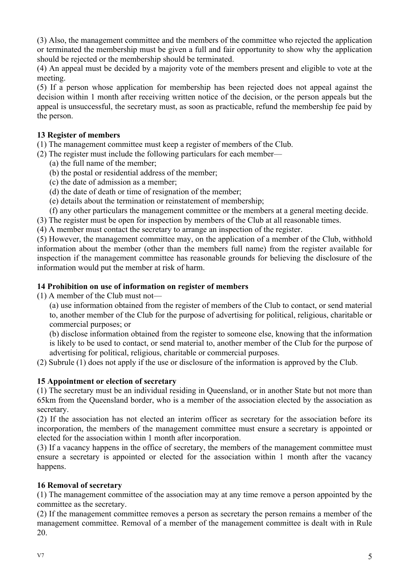(3) Also, the management committee and the members of the committee who rejected the application or terminated the membership must be given a full and fair opportunity to show why the application should be rejected or the membership should be terminated.

(4) An appeal must be decided by a majority vote of the members present and eligible to vote at the meeting.

(5) If a person whose application for membership has been rejected does not appeal against the decision within 1 month after receiving written notice of the decision, or the person appeals but the appeal is unsuccessful, the secretary must, as soon as practicable, refund the membership fee paid by the person.

# **13 Register of members**

(1) The management committee must keep a register of members of the Club.

- (2) The register must include the following particulars for each member—
	- (a) the full name of the member;
	- (b) the postal or residential address of the member;
	- (c) the date of admission as a member;
	- (d) the date of death or time of resignation of the member;
	- (e) details about the termination or reinstatement of membership;
	- (f) any other particulars the management committee or the members at a general meeting decide.
- (3) The register must be open for inspection by members of the Club at all reasonable times.
- (4) A member must contact the secretary to arrange an inspection of the register.

(5) However, the management committee may, on the application of a member of the Club, withhold information about the member (other than the members full name) from the register available for inspection if the management committee has reasonable grounds for believing the disclosure of the information would put the member at risk of harm.

# **14 Prohibition on use of information on register of members**

(1) A member of the Club must not—

(a) use information obtained from the register of members of the Club to contact, or send material to, another member of the Club for the purpose of advertising for political, religious, charitable or commercial purposes; or

(b) disclose information obtained from the register to someone else, knowing that the information is likely to be used to contact, or send material to, another member of the Club for the purpose of advertising for political, religious, charitable or commercial purposes.

(2) Subrule (1) does not apply if the use or disclosure of the information is approved by the Club.

# **15 Appointment or election of secretary**

(1) The secretary must be an individual residing in Queensland, or in another State but not more than 65km from the Queensland border, who is a member of the association elected by the association as secretary.

(2) If the association has not elected an interim officer as secretary for the association before its incorporation, the members of the management committee must ensure a secretary is appointed or elected for the association within 1 month after incorporation.

(3) If a vacancy happens in the office of secretary, the members of the management committee must ensure a secretary is appointed or elected for the association within 1 month after the vacancy happens.

# **16 Removal of secretary**

(1) The management committee of the association may at any time remove a person appointed by the committee as the secretary.

(2) If the management committee removes a person as secretary the person remains a member of the management committee. Removal of a member of the management committee is dealt with in Rule 20.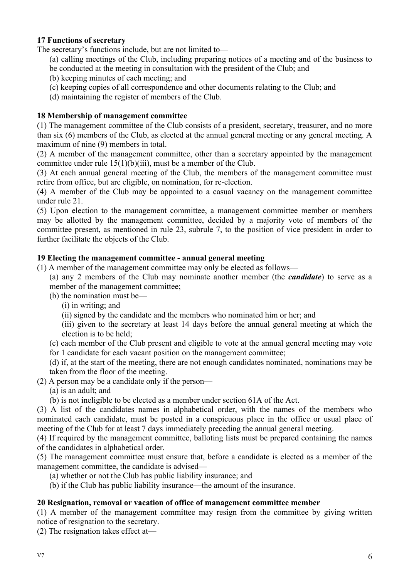# **17 Functions of secretary**

The secretary's functions include, but are not limited to—

- (a) calling meetings of the Club, including preparing notices of a meeting and of the business to be conducted at the meeting in consultation with the president of the Club; and
- (b) keeping minutes of each meeting; and
- (c) keeping copies of all correspondence and other documents relating to the Club; and
- (d) maintaining the register of members of the Club.

#### **18 Membership of management committee**

(1) The management committee of the Club consists of a president, secretary, treasurer, and no more than six (6) members of the Club, as elected at the annual general meeting or any general meeting. A maximum of nine (9) members in total.

(2) A member of the management committee, other than a secretary appointed by the management committee under rule 15(1)(b)(iii), must be a member of the Club.

(3) At each annual general meeting of the Club, the members of the management committee must retire from office, but are eligible, on nomination, for re-election.

(4) A member of the Club may be appointed to a casual vacancy on the management committee under rule 21.

(5) Upon election to the management committee, a management committee member or members may be allotted by the management committee, decided by a majority vote of members of the committee present, as mentioned in rule 23, subrule 7, to the position of vice president in order to further facilitate the objects of the Club.

#### **19 Electing the management committee - annual general meeting**

- (1) A member of the management committee may only be elected as follows—
	- (a) any 2 members of the Club may nominate another member (the *candidate*) to serve as a member of the management committee;
	- (b) the nomination must be—
		- (i) in writing; and
		- (ii) signed by the candidate and the members who nominated him or her; and

(iii) given to the secretary at least 14 days before the annual general meeting at which the election is to be held;

(c) each member of the Club present and eligible to vote at the annual general meeting may vote for 1 candidate for each vacant position on the management committee;

(d) if, at the start of the meeting, there are not enough candidates nominated, nominations may be taken from the floor of the meeting.

- (2) A person may be a candidate only if the person—
	- (a) is an adult; and
	- (b) is not ineligible to be elected as a member under section 61A of the Act.

(3) A list of the candidates names in alphabetical order, with the names of the members who nominated each candidate, must be posted in a conspicuous place in the office or usual place of meeting of the Club for at least 7 days immediately preceding the annual general meeting.

(4) If required by the management committee, balloting lists must be prepared containing the names of the candidates in alphabetical order.

(5) The management committee must ensure that, before a candidate is elected as a member of the management committee, the candidate is advised—

- (a) whether or not the Club has public liability insurance; and
- (b) if the Club has public liability insurance—the amount of the insurance.

#### **20 Resignation, removal or vacation of office of management committee member**

(1) A member of the management committee may resign from the committee by giving written notice of resignation to the secretary.

(2) The resignation takes effect at—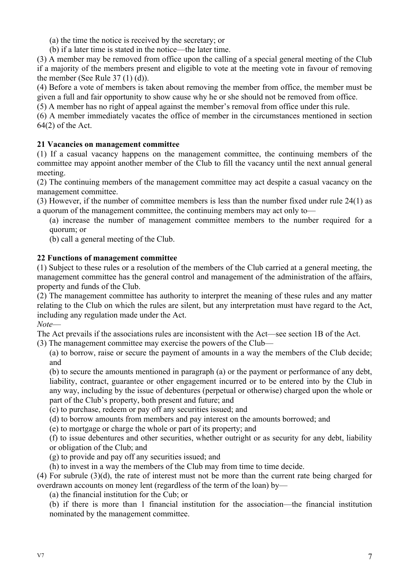(a) the time the notice is received by the secretary; or

(b) if a later time is stated in the notice—the later time.

(3) A member may be removed from office upon the calling of a special general meeting of the Club if a majority of the members present and eligible to vote at the meeting vote in favour of removing the member (See Rule 37 (1) (d)).

(4) Before a vote of members is taken about removing the member from office, the member must be given a full and fair opportunity to show cause why he or she should not be removed from office.

(5) A member has no right of appeal against the member's removal from office under this rule.

(6) A member immediately vacates the office of member in the circumstances mentioned in section 64(2) of the Act.

# **21 Vacancies on management committee**

(1) If a casual vacancy happens on the management committee, the continuing members of the committee may appoint another member of the Club to fill the vacancy until the next annual general meeting.

(2) The continuing members of the management committee may act despite a casual vacancy on the management committee.

(3) However, if the number of committee members is less than the number fixed under rule 24(1) as a quorum of the management committee, the continuing members may act only to—

(a) increase the number of management committee members to the number required for a quorum; or

(b) call a general meeting of the Club.

# **22 Functions of management committee**

(1) Subject to these rules or a resolution of the members of the Club carried at a general meeting, the management committee has the general control and management of the administration of the affairs, property and funds of the Club.

(2) The management committee has authority to interpret the meaning of these rules and any matter relating to the Club on which the rules are silent, but any interpretation must have regard to the Act, including any regulation made under the Act.

*Note*—

The Act prevails if the associations rules are inconsistent with the Act—see section 1B of the Act.

(3) The management committee may exercise the powers of the Club—

(a) to borrow, raise or secure the payment of amounts in a way the members of the Club decide; and

(b) to secure the amounts mentioned in paragraph (a) or the payment or performance of any debt, liability, contract, guarantee or other engagement incurred or to be entered into by the Club in any way, including by the issue of debentures (perpetual or otherwise) charged upon the whole or part of the Club's property, both present and future; and

(c) to purchase, redeem or pay off any securities issued; and

(d) to borrow amounts from members and pay interest on the amounts borrowed; and

(e) to mortgage or charge the whole or part of its property; and

(f) to issue debentures and other securities, whether outright or as security for any debt, liability or obligation of the Club; and

(g) to provide and pay off any securities issued; and

(h) to invest in a way the members of the Club may from time to time decide.

(4) For subrule (3)(d), the rate of interest must not be more than the current rate being charged for overdrawn accounts on money lent (regardless of the term of the loan) by—

(a) the financial institution for the Cub; or

(b) if there is more than 1 financial institution for the association—the financial institution nominated by the management committee.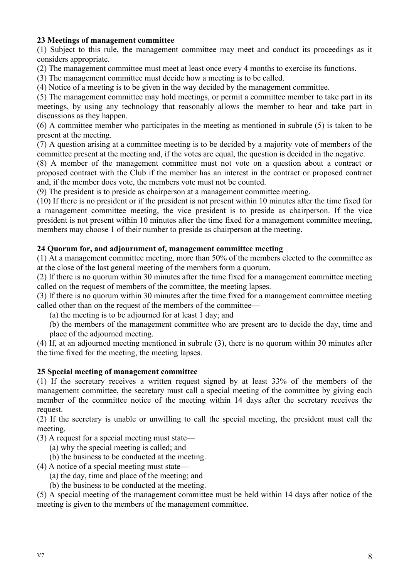# **23 Meetings of management committee**

(1) Subject to this rule, the management committee may meet and conduct its proceedings as it considers appropriate.

(2) The management committee must meet at least once every 4 months to exercise its functions.

(3) The management committee must decide how a meeting is to be called.

(4) Notice of a meeting is to be given in the way decided by the management committee.

(5) The management committee may hold meetings, or permit a committee member to take part in its meetings, by using any technology that reasonably allows the member to hear and take part in discussions as they happen.

(6) A committee member who participates in the meeting as mentioned in subrule (5) is taken to be present at the meeting.

(7) A question arising at a committee meeting is to be decided by a majority vote of members of the committee present at the meeting and, if the votes are equal, the question is decided in the negative.

(8) A member of the management committee must not vote on a question about a contract or proposed contract with the Club if the member has an interest in the contract or proposed contract and, if the member does vote, the members vote must not be counted.

(9) The president is to preside as chairperson at a management committee meeting.

(10) If there is no president or if the president is not present within 10 minutes after the time fixed for a management committee meeting, the vice president is to preside as chairperson. If the vice president is not present within 10 minutes after the time fixed for a management committee meeting, members may choose 1 of their number to preside as chairperson at the meeting.

#### **24 Quorum for, and adjournment of, management committee meeting**

(1) At a management committee meeting, more than 50% of the members elected to the committee as at the close of the last general meeting of the members form a quorum.

(2) If there is no quorum within 30 minutes after the time fixed for a management committee meeting called on the request of members of the committee, the meeting lapses.

(3) If there is no quorum within 30 minutes after the time fixed for a management committee meeting called other than on the request of the members of the committee—

(a) the meeting is to be adjourned for at least 1 day; and

(b) the members of the management committee who are present are to decide the day, time and place of the adjourned meeting.

(4) If, at an adjourned meeting mentioned in subrule (3), there is no quorum within 30 minutes after the time fixed for the meeting, the meeting lapses.

#### **25 Special meeting of management committee**

(1) If the secretary receives a written request signed by at least 33% of the members of the management committee, the secretary must call a special meeting of the committee by giving each member of the committee notice of the meeting within 14 days after the secretary receives the request.

(2) If the secretary is unable or unwilling to call the special meeting, the president must call the meeting.

(3) A request for a special meeting must state—

(a) why the special meeting is called; and

(b) the business to be conducted at the meeting.

- (4) A notice of a special meeting must state—
	- (a) the day, time and place of the meeting; and
	- (b) the business to be conducted at the meeting.

(5) A special meeting of the management committee must be held within 14 days after notice of the meeting is given to the members of the management committee.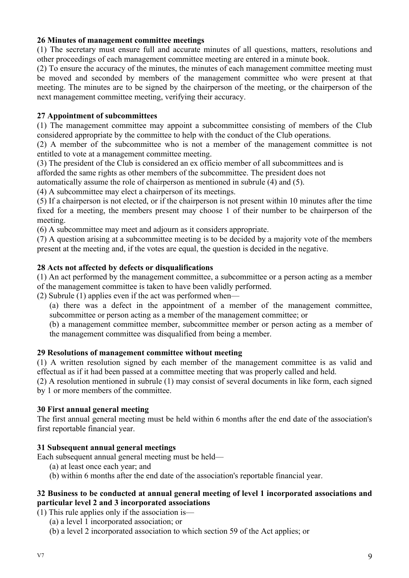#### **26 Minutes of management committee meetings**

(1) The secretary must ensure full and accurate minutes of all questions, matters, resolutions and other proceedings of each management committee meeting are entered in a minute book.

(2) To ensure the accuracy of the minutes, the minutes of each management committee meeting must be moved and seconded by members of the management committee who were present at that meeting. The minutes are to be signed by the chairperson of the meeting, or the chairperson of the next management committee meeting, verifying their accuracy.

#### **27 Appointment of subcommittees**

(1) The management committee may appoint a subcommittee consisting of members of the Club considered appropriate by the committee to help with the conduct of the Club operations.

(2) A member of the subcommittee who is not a member of the management committee is not entitled to vote at a management committee meeting.

(3) The president of the Club is considered an ex officio member of all subcommittees and is

afforded the same rights as other members of the subcommittee. The president does not

automatically assume the role of chairperson as mentioned in subrule (4) and (5).

(4) A subcommittee may elect a chairperson of its meetings.

(5) If a chairperson is not elected, or if the chairperson is not present within 10 minutes after the time fixed for a meeting, the members present may choose 1 of their number to be chairperson of the meeting.

(6) A subcommittee may meet and adjourn as it considers appropriate.

(7) A question arising at a subcommittee meeting is to be decided by a majority vote of the members present at the meeting and, if the votes are equal, the question is decided in the negative.

#### **28 Acts not affected by defects or disqualifications**

(1) An act performed by the management committee, a subcommittee or a person acting as a member of the management committee is taken to have been validly performed.

(2) Subrule (1) applies even if the act was performed when—

(a) there was a defect in the appointment of a member of the management committee, subcommittee or person acting as a member of the management committee; or

(b) a management committee member, subcommittee member or person acting as a member of the management committee was disqualified from being a member.

#### **29 Resolutions of management committee without meeting**

(1) A written resolution signed by each member of the management committee is as valid and effectual as if it had been passed at a committee meeting that was properly called and held.

(2) A resolution mentioned in subrule (1) may consist of several documents in like form, each signed by 1 or more members of the committee.

#### **30 First annual general meeting**

The first annual general meeting must be held within 6 months after the end date of the association's first reportable financial year.

#### **31 Subsequent annual general meetings**

Each subsequent annual general meeting must be held—

- (a) at least once each year; and
- (b) within 6 months after the end date of the association's reportable financial year.

#### **32 Business to be conducted at annual general meeting of level 1 incorporated associations and particular level 2 and 3 incorporated associations**

(1) This rule applies only if the association is—

- (a) a level 1 incorporated association; or
- (b) a level 2 incorporated association to which section 59 of the Act applies; or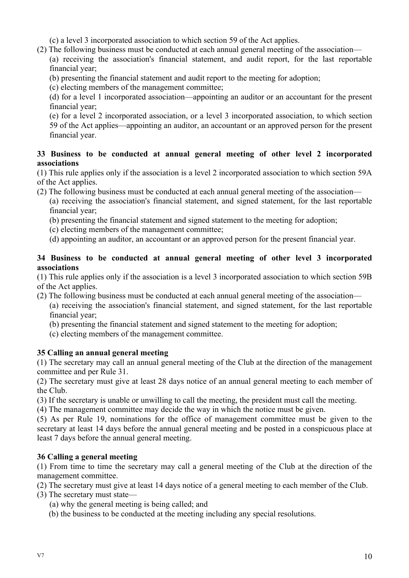(c) a level 3 incorporated association to which section 59 of the Act applies.

(2) The following business must be conducted at each annual general meeting of the association—

(a) receiving the association's financial statement, and audit report, for the last reportable financial year;

- (b) presenting the financial statement and audit report to the meeting for adoption;
- (c) electing members of the management committee;

(d) for a level 1 incorporated association—appointing an auditor or an accountant for the present financial year;

(e) for a level 2 incorporated association, or a level 3 incorporated association, to which section 59 of the Act applies—appointing an auditor, an accountant or an approved person for the present financial year.

# **33 Business to be conducted at annual general meeting of other level 2 incorporated associations**

(1) This rule applies only if the association is a level 2 incorporated association to which section 59A of the Act applies.

(2) The following business must be conducted at each annual general meeting of the association—

(a) receiving the association's financial statement, and signed statement, for the last reportable financial year;

(b) presenting the financial statement and signed statement to the meeting for adoption;

- (c) electing members of the management committee;
- (d) appointing an auditor, an accountant or an approved person for the present financial year.

# **34 Business to be conducted at annual general meeting of other level 3 incorporated associations**

(1) This rule applies only if the association is a level 3 incorporated association to which section 59B of the Act applies.

(2) The following business must be conducted at each annual general meeting of the association—

(a) receiving the association's financial statement, and signed statement, for the last reportable financial year;

- (b) presenting the financial statement and signed statement to the meeting for adoption;
- (c) electing members of the management committee.

# **35 Calling an annual general meeting**

(1) The secretary may call an annual general meeting of the Club at the direction of the management committee and per Rule 31.

(2) The secretary must give at least 28 days notice of an annual general meeting to each member of the Club.

(3) If the secretary is unable or unwilling to call the meeting, the president must call the meeting.

(4) The management committee may decide the way in which the notice must be given.

(5) As per Rule 19, nominations for the office of management committee must be given to the secretary at least 14 days before the annual general meeting and be posted in a conspicuous place at least 7 days before the annual general meeting.

# **36 Calling a general meeting**

(1) From time to time the secretary may call a general meeting of the Club at the direction of the management committee.

(2) The secretary must give at least 14 days notice of a general meeting to each member of the Club.

(3) The secretary must state—

- (a) why the general meeting is being called; and
- (b) the business to be conducted at the meeting including any special resolutions.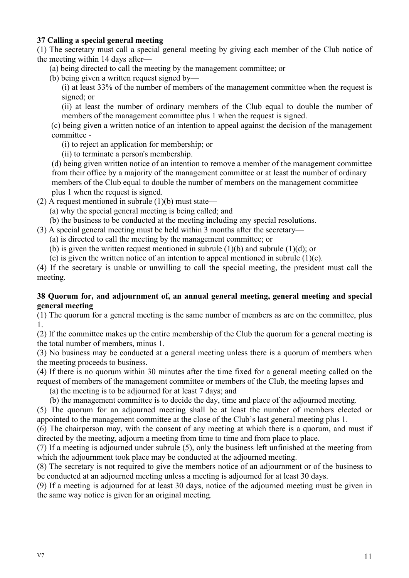# **37 Calling a special general meeting**

(1) The secretary must call a special general meeting by giving each member of the Club notice of the meeting within 14 days after—

- (a) being directed to call the meeting by the management committee; or
- (b) being given a written request signed by—

(i) at least 33% of the number of members of the management committee when the request is signed; or

(ii) at least the number of ordinary members of the Club equal to double the number of members of the management committee plus 1 when the request is signed.

(c) being given a written notice of an intention to appeal against the decision of the management committee -

- (i) to reject an application for membership; or
- (ii) to terminate a person's membership.

(d) being given written notice of an intention to remove a member of the management committee from their office by a majority of the management committee or at least the number of ordinary members of the Club equal to double the number of members on the management committee plus 1 when the request is signed.

- (2) A request mentioned in subrule  $(1)(b)$  must state—
	- (a) why the special general meeting is being called; and
	- (b) the business to be conducted at the meeting including any special resolutions.
- (3) A special general meeting must be held within 3 months after the secretary—
	- (a) is directed to call the meeting by the management committee; or
	- (b) is given the written request mentioned in subrule  $(1)(b)$  and subrule  $(1)(d)$ ; or
	- (c) is given the written notice of an intention to appeal mentioned in subrule  $(1)(c)$ .

(4) If the secretary is unable or unwilling to call the special meeting, the president must call the meeting.

#### **38 Quorum for, and adjournment of, an annual general meeting, general meeting and special general meeting**

(1) The quorum for a general meeting is the same number of members as are on the committee, plus 1.

(2) If the committee makes up the entire membership of the Club the quorum for a general meeting is the total number of members, minus 1.

(3) No business may be conducted at a general meeting unless there is a quorum of members when the meeting proceeds to business.

(4) If there is no quorum within 30 minutes after the time fixed for a general meeting called on the request of members of the management committee or members of the Club, the meeting lapses and

(a) the meeting is to be adjourned for at least 7 days; and

(b) the management committee is to decide the day, time and place of the adjourned meeting.

(5) The quorum for an adjourned meeting shall be at least the number of members elected or appointed to the management committee at the close of the Club's last general meeting plus 1.

(6) The chairperson may, with the consent of any meeting at which there is a quorum, and must if directed by the meeting, adjourn a meeting from time to time and from place to place.

(7) If a meeting is adjourned under subrule (5), only the business left unfinished at the meeting from which the adjournment took place may be conducted at the adjourned meeting.

(8) The secretary is not required to give the members notice of an adjournment or of the business to be conducted at an adjourned meeting unless a meeting is adjourned for at least 30 days.

(9) If a meeting is adjourned for at least 30 days, notice of the adjourned meeting must be given in the same way notice is given for an original meeting.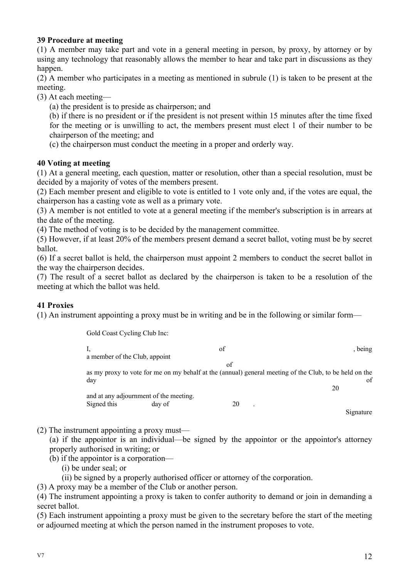# **39 Procedure at meeting**

(1) A member may take part and vote in a general meeting in person, by proxy, by attorney or by using any technology that reasonably allows the member to hear and take part in discussions as they happen.

(2) A member who participates in a meeting as mentioned in subrule (1) is taken to be present at the meeting.

(3) At each meeting—

(a) the president is to preside as chairperson; and

(b) if there is no president or if the president is not present within 15 minutes after the time fixed for the meeting or is unwilling to act, the members present must elect 1 of their number to be chairperson of the meeting; and

(c) the chairperson must conduct the meeting in a proper and orderly way.

#### **40 Voting at meeting**

(1) At a general meeting, each question, matter or resolution, other than a special resolution, must be decided by a majority of votes of the members present.

(2) Each member present and eligible to vote is entitled to 1 vote only and, if the votes are equal, the chairperson has a casting vote as well as a primary vote.

(3) A member is not entitled to vote at a general meeting if the member's subscription is in arrears at the date of the meeting.

(4) The method of voting is to be decided by the management committee.

(5) However, if at least 20% of the members present demand a secret ballot, voting must be by secret ballot.

(6) If a secret ballot is held, the chairperson must appoint 2 members to conduct the secret ballot in the way the chairperson decides.

(7) The result of a secret ballot as declared by the chairperson is taken to be a resolution of the meeting at which the ballot was held.

# **41 Proxies**

(1) An instrument appointing a proxy must be in writing and be in the following or similar form—

Gold Coast Cycling Club Inc:

| π.                            |                                        | of                         | , being                                                                                                      |
|-------------------------------|----------------------------------------|----------------------------|--------------------------------------------------------------------------------------------------------------|
| a member of the Club, appoint |                                        |                            |                                                                                                              |
|                               |                                        | of                         |                                                                                                              |
| dav                           |                                        |                            | as my proxy to vote for me on my behalf at the (annual) general meeting of the Club, to be held on the<br>of |
|                               |                                        |                            | 20                                                                                                           |
|                               | and at any adjournment of the meeting. |                            |                                                                                                              |
| Signed this                   | day of                                 | 20<br>$\ddot{\phantom{a}}$ |                                                                                                              |
|                               |                                        |                            | signature                                                                                                    |

(2) The instrument appointing a proxy must—

(a) if the appointor is an individual—be signed by the appointor or the appointor's attorney properly authorised in writing; or

- (b) if the appointor is a corporation—
	- (i) be under seal; or
	- (ii) be signed by a properly authorised officer or attorney of the corporation.

(3) A proxy may be a member of the Club or another person.

(4) The instrument appointing a proxy is taken to confer authority to demand or join in demanding a secret ballot.

(5) Each instrument appointing a proxy must be given to the secretary before the start of the meeting or adjourned meeting at which the person named in the instrument proposes to vote.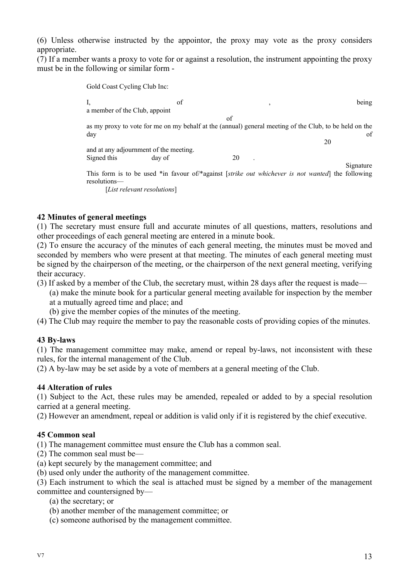(6) Unless otherwise instructed by the appointor, the proxy may vote as the proxy considers appropriate.

(7) If a member wants a proxy to vote for or against a resolution, the instrument appointing the proxy must be in the following or similar form -

> Gold Coast Cycling Club Inc: I, being of the set of the set of the set of the set of the set of the set of the set of the set of the set of the set of the set of the set of the set of the set of the set of the set of the set of the set of the set of t a member of the Club, appoint of as my proxy to vote for me on my behalf at the (annual) general meeting of the Club, to be held on the day day and the contract of the contract of the contract of the contract of the contract of the contract of the contract of the contract of the contract of the contract of the contract of the contract of the contract of th 20 and at any adjournment of the meeting. Signed this day of 20 Signature This form is to be used \*in favour of/\*against [*strike out whichever is not wanted*] the following resolutions— [*List relevant resolutions*]

#### **42 Minutes of general meetings**

(1) The secretary must ensure full and accurate minutes of all questions, matters, resolutions and other proceedings of each general meeting are entered in a minute book.

(2) To ensure the accuracy of the minutes of each general meeting, the minutes must be moved and seconded by members who were present at that meeting. The minutes of each general meeting must be signed by the chairperson of the meeting, or the chairperson of the next general meeting, verifying their accuracy.

- (3) If asked by a member of the Club, the secretary must, within 28 days after the request is made—
	- (a) make the minute book for a particular general meeting available for inspection by the member at a mutually agreed time and place; and
	- (b) give the member copies of the minutes of the meeting.
- (4) The Club may require the member to pay the reasonable costs of providing copies of the minutes.

#### **43 By-laws**

(1) The management committee may make, amend or repeal by-laws, not inconsistent with these rules, for the internal management of the Club.

(2) A by-law may be set aside by a vote of members at a general meeting of the Club.

#### **44 Alteration of rules**

(1) Subject to the Act, these rules may be amended, repealed or added to by a special resolution carried at a general meeting.

(2) However an amendment, repeal or addition is valid only if it is registered by the chief executive.

#### **45 Common seal**

(1) The management committee must ensure the Club has a common seal.

- (2) The common seal must be—
- (a) kept securely by the management committee; and
- (b) used only under the authority of the management committee.

(3) Each instrument to which the seal is attached must be signed by a member of the management

- committee and countersigned by—
	- (a) the secretary; or
	- (b) another member of the management committee; or
	- (c) someone authorised by the management committee.